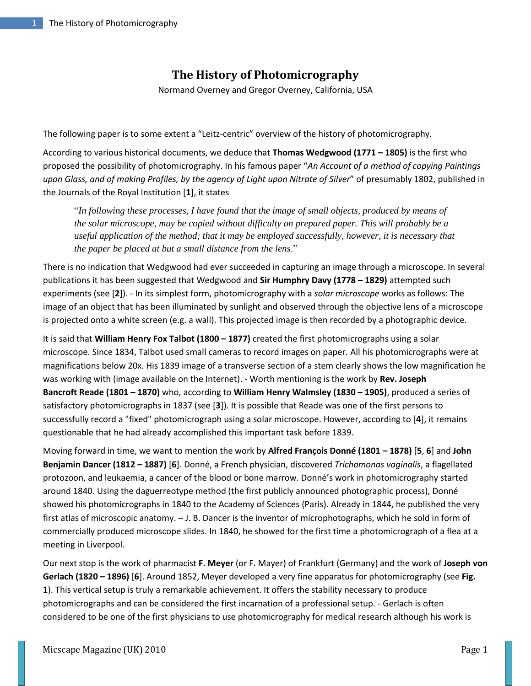## **The History of Photomicrography**

Normand Overney and Gregor Overney, California, USA

The following paper is to some extent a "Leitz-centric" overview of the history of photomicrography.

According to various historical documents, we deduce that **Thomas Wedgwood (1771 – 1805)** is the first who proposed the possibility of photomicrography. In his famous paper "*An Account of a method of copying Paintings upon Glass, and of making Profiles, by the agency of Light upon Nitrate of Silver*" of presumably 1802, published in the Journals of the Royal Institution [**1**], it states

"*In following these processes, I have found that the image of small objects, produced by means of the solar microscope, may be copied without difficulty on prepared paper. This will probably be a useful application of the method; that it may be employed successfully, however, it is necessary that the paper be placed at but a small distance from the lens*."

There is no indication that Wedgwood had ever succeeded in capturing an image through a microscope. In several publications it has been suggested that Wedgwood and **Sir Humphry Davy (1778 – 1829)** attempted such experiments (see [**2**]). - In its simplest form, photomicrography with a *solar microscope* works as follows: The image of an object that has been illuminated by sunlight and observed through the objective lens of a microscope is projected onto a white screen (e.g. a wall). This projected image is then recorded by a photographic device.

It is said that **William Henry Fox Talbot (1800 – 1877)** created the first photomicrographs using a solar microscope. Since 1834, Talbot used small cameras to record images on paper. All his photomicrographs were at magnifications below 20x. His 1839 image of a transverse section of a stem clearly shows the low magnification he was working with (image available on the Internet). - Worth mentioning is the work by **Rev. Joseph Bancroft Reade (1801 – 1870)** who, according to **William Henry Walmsley (1830 – 1905)**, produced a series of satisfactory photomicrographs in 1837 (see [**3**]). It is possible that Reade was one of the first persons to successfully record a "fixed" photomicrograph using a solar microscope. However, according to [**4**], it remains questionable that he had already accomplished this important task before 1839.

Moving forward in time, we want to mention the work by **Alfred François Donné (1801 – 1878)** [**5**, **6**] and **John Benjamin Dancer (1812 – 1887)** [**6**]. Donné, a French physician, discovered *Trichomonas vaginalis*, a flagellated protozoon, and leukaemia, a cancer of the blood or bone marrow. Donné's work in photomicrography started around 1840. Using the daguerreotype method (the first publicly announced photographic process), Donné showed his photomicrographs in 1840 to the Academy of Sciences (Paris). Already in 1844, he published the very first atlas of microscopic anatomy. – J. B. Dancer is the inventor of microphotographs, which he sold in form of commercially produced microscope slides. In 1840, he showed for the first time a photomicrograph of a flea at a meeting in Liverpool.

Our next stop is the work of pharmacist **F. Meyer** (or F. Mayer) of Frankfurt (Germany) and the work of **Joseph von Gerlach (1820 – 1896)** [**6**]. Around 1852, Meyer developed a very fine apparatus for photomicrography (see **Fig. 1**). This vertical setup is truly a remarkable achievement. It offers the stability necessary to produce photomicrographs and can be considered the first incarnation of a professional setup. - Gerlach is often considered to be one of the first physicians to use photomicrography for medical research although his work is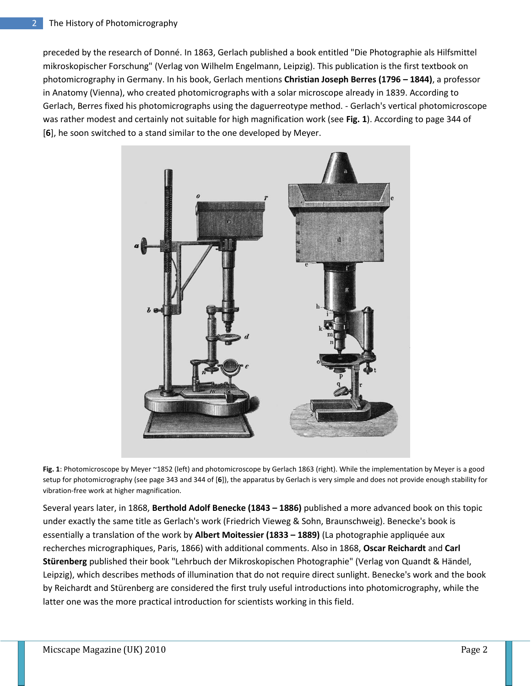preceded by the research of Donné. In 1863, Gerlach published a book entitled "Die Photographie als Hilfsmittel mikroskopischer Forschung" (Verlag von Wilhelm Engelmann, Leipzig). This publication is the first textbook on photomicrography in Germany. In his book, Gerlach mentions **Christian Joseph Berres (1796 – 1844)**, a professor in Anatomy (Vienna), who created photomicrographs with a solar microscope already in 1839. According to Gerlach, Berres fixed his photomicrographs using the daguerreotype method. - Gerlach's vertical photomicroscope was rather modest and certainly not suitable for high magnification work (see **Fig. 1**). According to page 344 of [**6**], he soon switched to a stand similar to the one developed by Meyer.



**Fig. 1**: Photomicroscope by Meyer ~1852 (left) and photomicroscope by Gerlach 1863 (right). While the implementation by Meyer is a good setup for photomicrography (see page 343 and 344 of [**6**]), the apparatus by Gerlach is very simple and does not provide enough stability for vibration-free work at higher magnification.

Several years later, in 1868, **Berthold Adolf Benecke (1843 – 1886)** published a more advanced book on this topic under exactly the same title as Gerlach's work (Friedrich Vieweg & Sohn, Braunschweig). Benecke's book is essentially a translation of the work by **Albert Moitessier (1833 – 1889)** (La photographie appliquée aux recherches micrographiques, Paris, 1866) with additional comments. Also in 1868, **Oscar Reichardt** and **Carl Stürenberg** published their book "Lehrbuch der Mikroskopischen Photographie" (Verlag von Quandt & Händel, Leipzig), which describes methods of illumination that do not require direct sunlight. Benecke's work and the book by Reichardt and Stürenberg are considered the first truly useful introductions into photomicrography, while the latter one was the more practical introduction for scientists working in this field.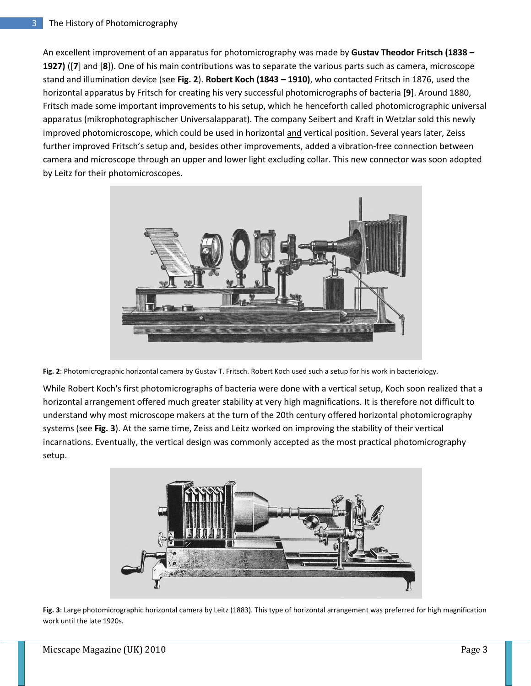An excellent improvement of an apparatus for photomicrography was made by **Gustav Theodor Fritsch (1838 – 1927)** ([**7**] and [**8**]). One of his main contributions was to separate the various parts such as camera, microscope stand and illumination device (see **Fig. 2**). **Robert Koch (1843 – 1910)**, who contacted Fritsch in 1876, used the horizontal apparatus by Fritsch for creating his very successful photomicrographs of bacteria [**9**]. Around 1880, Fritsch made some important improvements to his setup, which he henceforth called photomicrographic universal apparatus (mikrophotographischer Universalapparat). The company Seibert and Kraft in Wetzlar sold this newly improved photomicroscope, which could be used in horizontal and vertical position. Several years later, Zeiss further improved Fritsch's setup and, besides other improvements, added a vibration-free connection between camera and microscope through an upper and lower light excluding collar. This new connector was soon adopted by Leitz for their photomicroscopes.





While Robert Koch's first photomicrographs of bacteria were done with a vertical setup, Koch soon realized that a horizontal arrangement offered much greater stability at very high magnifications. It is therefore not difficult to understand why most microscope makers at the turn of the 20th century offered horizontal photomicrography systems (see **Fig. 3**). At the same time, Zeiss and Leitz worked on improving the stability of their vertical incarnations. Eventually, the vertical design was commonly accepted as the most practical photomicrography setup.



**Fig. 3**: Large photomicrographic horizontal camera by Leitz (1883). This type of horizontal arrangement was preferred for high magnification work until the late 1920s.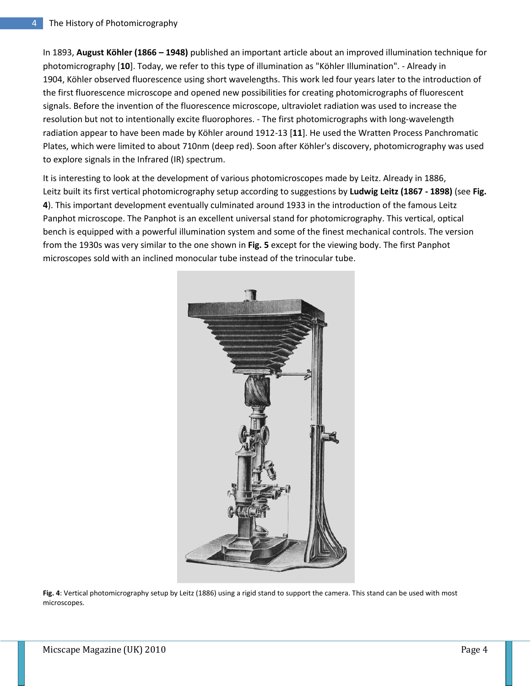In 1893, **August Köhler (1866 – 1948)** published an important article about an improved illumination technique for photomicrography [**10**]. Today, we refer to this type of illumination as "Köhler Illumination". - Already in 1904, Köhler observed fluorescence using short wavelengths. This work led four years later to the introduction of the first fluorescence microscope and opened new possibilities for creating photomicrographs of fluorescent signals. Before the invention of the fluorescence microscope, ultraviolet radiation was used to increase the resolution but not to intentionally excite fluorophores. - The first photomicrographs with long-wavelength radiation appear to have been made by Köhler around 1912-13 [**11**]. He used the Wratten Process Panchromatic Plates, which were limited to about 710nm (deep red). Soon after Köhler's discovery, photomicrography was used to explore signals in the Infrared (IR) spectrum.

It is interesting to look at the development of various photomicroscopes made by Leitz. Already in 1886, Leitz built its first vertical photomicrography setup according to suggestions by **Ludwig Leitz (1867 - 1898)** (see **Fig. 4**). This important development eventually culminated around 1933 in the introduction of the famous Leitz Panphot microscope. The Panphot is an excellent universal stand for photomicrography. This vertical, optical bench is equipped with a powerful illumination system and some of the finest mechanical controls. The version from the 1930s was very similar to the one shown in **Fig. 5** except for the viewing body. The first Panphot microscopes sold with an inclined monocular tube instead of the trinocular tube.



**Fig. 4**: Vertical photomicrography setup by Leitz (1886) using a rigid stand to support the camera. This stand can be used with most microscopes.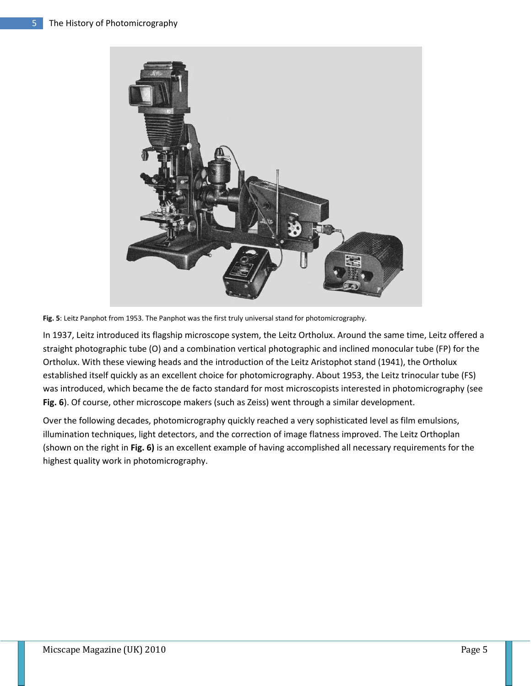

**Fig. 5**: Leitz Panphot from 1953. The Panphot was the first truly universal stand for photomicrography.

In 1937, Leitz introduced its flagship microscope system, the Leitz Ortholux. Around the same time, Leitz offered a straight photographic tube (O) and a combination vertical photographic and inclined monocular tube (FP) for the Ortholux. With these viewing heads and the introduction of the Leitz Aristophot stand (1941), the Ortholux established itself quickly as an excellent choice for photomicrography. About 1953, the Leitz trinocular tube (FS) was introduced, which became the de facto standard for most microscopists interested in photomicrography (see **Fig. 6**). Of course, other microscope makers (such as Zeiss) went through a similar development.

Over the following decades, photomicrography quickly reached a very sophisticated level as film emulsions, illumination techniques, light detectors, and the correction of image flatness improved. The Leitz Orthoplan (shown on the right in **Fig. 6)** is an excellent example of having accomplished all necessary requirements for the highest quality work in photomicrography.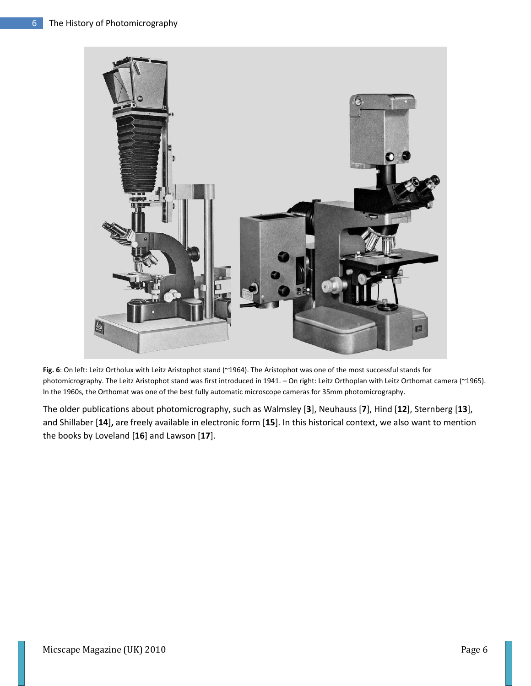

**Fig. 6**: On left: Leitz Ortholux with Leitz Aristophot stand (~1964). The Aristophot was one of the most successful stands for photomicrography. The Leitz Aristophot stand was first introduced in 1941. – On right: Leitz Orthoplan with Leitz Orthomat camera (~1965). In the 1960s, the Orthomat was one of the best fully automatic microscope cameras for 35mm photomicrography.

The older publications about photomicrography, such as Walmsley [**3**], Neuhauss [**7**], Hind [**12**], Sternberg [**13**], and Shillaber [**14**]**,** are freely available in electronic form [**15**]. In this historical context, we also want to mention the books by Loveland [**16**] and Lawson [**17**].